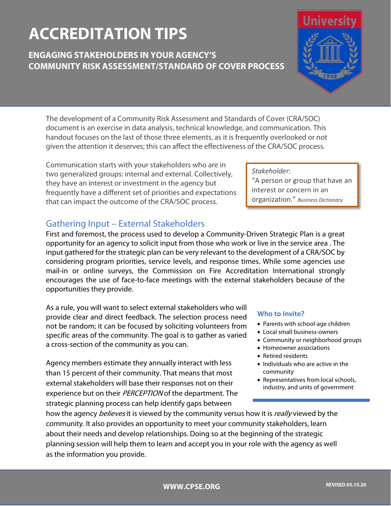# **ACCREDITATION TIPS**

# **ENGAGING STAKEHOLDERS IN YOUR AGENCY'S COMMUNITY RISK ASSESSMENT/STANDARD OF COVER PROCESS**



Communication starts with your stakeholders who are in two generalized groups: internal and external. Collectively, they have an interest or investment in the agency but frequently have a different set of priorities and expectations that can impact the outcome of the CRA/SOC process.

## Gathering Input – External Stakeholders

First and foremost, the process used to develop a Community-Driven Strategic Plan is a great opportunity for an agency to solicit input from those who work or live in the service area . The input gathered for the strategic plan can be very relevant to the development of a CRA/SOC by considering program priorities, service levels, and response times. While some agencies use mail-in or online surveys, the Commission on Fire Accreditation International strongly encourages the use of face-to-face meetings with the external stakeholders because of the opportunities they provide.

As a rule, you will want to select external stakeholders who will provide clear and direct feedback. The selection process need not be random; it can be focused by soliciting volunteers from specific areas of the community. The goal is to gather as varied a cross-section of the community as you can.

Agency members estimate they annually interact with less than 15 percent of their community. That means that most external stakeholders will base their responses not on their experience but on their PERCEPTION of the department. The strategic planning process can help identify gaps between

#### **Who to Invite?**

- Parents with school-age children
- Local small business-owners
- Community or neighborhood groups
- Homeowner associations
- Retired residents
- Individuals who are active in the community
- Representatives from local schools, industry, and units of government

how the agency *believes* it is viewed by the community versus how it is *really* viewed by the community. It also provides an opportunity to meet your community stakeholders, learn about their needs and develop relationships. Doing so at the beginning of the strategic planning session will help them to learn and accept you in your role with the agency as well as the information you provide.

*Stakeholder*:

"A person or group that have an interest or concern in an organization." *Business Dictionary*

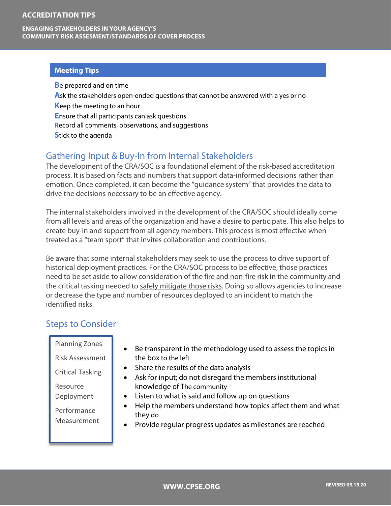#### **ACCREDITATION TIPS**

#### **ENGAGING STAKEHOLDERS IN YOUR AGENCY'S COMMUNITY RISK ASSESMENT/STANDARDS OF COVER PROCESS**

#### **Meeting Tips**

**B**e prepared and on time **A**sk the stakeholders open-ended questions that cannot be answered with a yes or no **K**eep the meeting to an hour **E**nsure that all participants can ask questions **R**ecord all comments, observations, and suggestions **S**tick to the agenda

## Gathering Input & Buy-In from Internal Stakeholders

The development of the CRA/SOC is a foundational element of the risk-based accreditation process. It is based on facts and numbers that support data-informed decisions rather than emotion. Once completed, it can become the "guidance system" that provides the data to drive the decisions necessary to be an effective agency.

The internal stakeholders involved in the development of the CRA/SOC should ideally come from all levels and areas of the organization and have a desire to participate. This also helps to create buy-in and support from all agency members. This process is most effective when treated as a "team sport" that invites collaboration and contributions.

Be aware that some internal stakeholders may seek to use the process to drive support of historical deployment practices. For the CRA/SOC process to be effective, those practices need to be set aside to allow consideration of the fire and non-fire risk in the community and the critical tasking needed to safely mitigate those risks. Doing so allows agencies to increase or decrease the type and number of resources deployed to an incident to match the identified risks.

### Steps to Consider

| <b>Planning Zones</b>      | Be transparent in the methodology used to assess the topics in<br>$\bullet$                                                                                                                                           |
|----------------------------|-----------------------------------------------------------------------------------------------------------------------------------------------------------------------------------------------------------------------|
| <b>Risk Assessment</b>     | the box to the left                                                                                                                                                                                                   |
| <b>Critical Tasking</b>    | Share the results of the data analysis                                                                                                                                                                                |
|                            | Ask for input; do not disregard the members institutional<br>$\bullet$                                                                                                                                                |
| Resource                   | knowledge of The community                                                                                                                                                                                            |
| Deployment                 | • Listen to what is said and follow up on questions<br>Help the members understand how topics affect them and what<br>$\bullet$<br>they do<br>Provide regular progress updates as milestones are reached<br>$\bullet$ |
| Performance<br>Measurement |                                                                                                                                                                                                                       |
|                            |                                                                                                                                                                                                                       |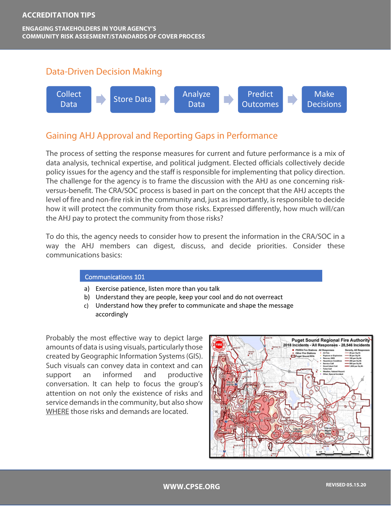

## Gaining AHJ Approval and Reporting Gaps in Performance

The process of setting the response measures for current and future performance is a mix of data analysis, technical expertise, and political judgment. Elected officials collectively decide policy issues for the agency and the staff is responsible for implementing that policy direction. The challenge for the agency is to frame the discussion with the AHJ as one concerning riskversus-benefit. The CRA/SOC process is based in part on the concept that the AHJ accepts the level of fire and non-fire risk in the community and, just as importantly, is responsible to decide how it will protect the community from those risks. Expressed differently, how much will/can the AHJ pay to protect the community from those risks?

To do this, the agency needs to consider how to present the information in the CRA/SOC in a way the AHJ members can digest, discuss, and decide priorities. Consider these communications basics:

#### Communications 101

- a) Exercise patience, listen more than you talk
- b) Understand they are people, keep your cool and do not overreact
- c) Understand how they prefer to communicate and shape the message accordingly

Probably the most effective way to depict large amounts of data is using visuals, particularly those created by Geographic Information Systems (GIS). Such visuals can convey data in context and can support an informed and productive conversation. It can help to focus the group's attention on not only the existence of risks and service demands in the community, but also show WHERE those risks and demands are located.